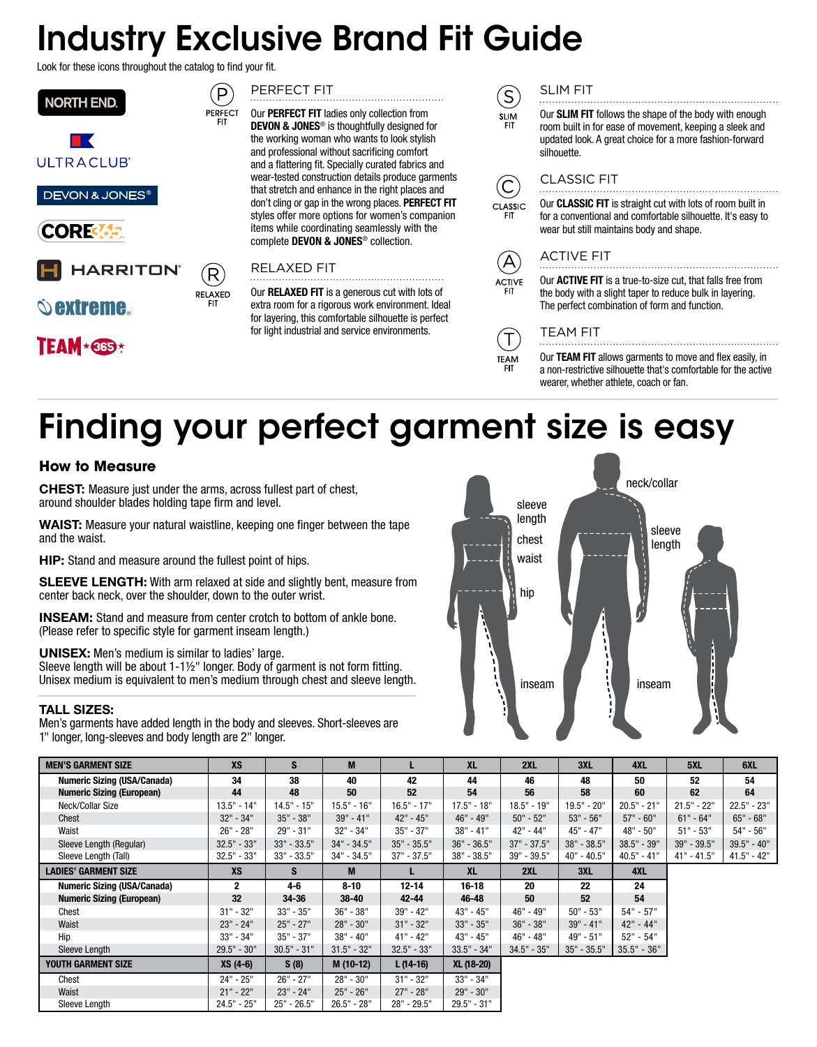## Industry Exclusive Brand Fit Guide

Look for these icons throughout the catalog to find your fit.

P

PERFECT

**RELAXED** 



**DEVON & JONES®** 



## **HARRITON**

## $\hat{\mathbb{O}}$  extreme.

**TEAM**\*6B3\*



Our PERFECT FIT ladies only collection from DEVON & JONES® is thoughtfully designed for the working woman who wants to look stylish and professional without sacrificing comfort and a flattering fit. Specially curated fabrics and wear-tested construction details produce garments that stretch and enhance in the right places and don't cling or gap in the wrong places. PERFECT FIT styles offer more options for women's companion items while coordinating seamlessly with the complete DEVON & JONES® collection.

### RELAXED FIT

Our RELAXED FIT is a generous cut with lots of extra room for a rigorous work environment. Ideal for layering, this comfortable silhouette is perfect for light industrial and service environments.

### SLIM FIT

 $\left[ \mathsf{S}\right]$ Our SLIM FIT follows the shape of the body with enough **SLIM** room built in for ease of movement, keeping a sleek and updated look. A great choice for a more fashion-forward silhouette.



C

CLASSIC

A

ACTIVE

Τ

TEAM **FIT** 



Our CLASSIC FIT is straight cut with lots of room built in for a conventional and comfortable silhouette. It's easy to wear but still maintains body and shape.

## ACTIVE FIT

Our ACTIVE FIT is a true-to-size cut, that falls free from the body with a slight taper to reduce bulk in layering. The perfect combination of form and function.

## TEAM FIT

Our TEAM FIT allows garments to move and flex easily, in a non-restrictive silhouette that's comfortable for the active wearer, whether athlete, coach or fan.

# Finding your perfect garment size is easy

### **How to Measure**

**CHEST:** Measure just under the arms, across fullest part of chest, around shoulder blades holding tape firm and level.

WAIST: Measure your natural waistline, keeping one finger between the tape and the waist.

HIP: Stand and measure around the fullest point of hips.

SLEEVE LENGTH: With arm relaxed at side and slightly bent, measure from center back neck, over the shoulder, down to the outer wrist.

INSEAM: Stand and measure from center crotch to bottom of ankle bone. (Please refer to specific style for garment inseam length.)

#### UNISEX: Men's medium is similar to ladies' large.

Sleeve length will be about 1-1½" longer. Body of garment is not form fitting. Unisex medium is equivalent to men's medium through chest and sleeve length.

#### TALL SIZES:

Men's garments have added length in the body and sleeves. Short-sleeves are 1" longer, long-sleeves and body length are 2" longer.



| <b>MEN'S GARMENT SIZE</b>          | <b>XS</b>     | S             | M             |               | <b>XL</b>     | 2XL           | 3XL           | 4XL           | 5XL           | 6XL           |
|------------------------------------|---------------|---------------|---------------|---------------|---------------|---------------|---------------|---------------|---------------|---------------|
| <b>Numeric Sizing (USA/Canada)</b> | 34            | 38            | 40            | 42            | 44            | 46            | 48            | 50            | 52            | 54            |
| <b>Numeric Sizing (European)</b>   | 44            | 48            | 50            | 52            | 54            | 56            | 58            | 60            | 62            | 64            |
| Neck/Collar Size                   | $13.5" - 14"$ | $14.5" - 15"$ | $15.5" - 16"$ | $16.5" - 17"$ | $17.5" - 18"$ | $18.5" - 19"$ | $19.5" - 20"$ | $20.5" - 21"$ | $21.5" - 22"$ | $22.5" - 23"$ |
| Chest                              | $32" - 34"$   | $35" - 38"$   | $39" - 41"$   | 42" - 45"     | 46" - 49"     | $50" - 52"$   | $53" - 56"$   | $57" - 60"$   | $61" - 64"$   | $65" - 68"$   |
| Waist                              | $26" - 28"$   | 29" - 31"     | 32" - 34"     | $35" - 37"$   | $38" - 41"$   | 42" - 44"     | 45" - 47"     | 48" - 50"     | $51" - 53"$   | $54" - 56"$   |
| Sleeve Length (Regular)            | $32.5" - 33"$ | $33" - 33.5"$ | $34" - 34.5"$ | $35" - 35.5"$ | $36" - 36.5"$ | $37" - 37.5"$ | $38" - 38.5"$ | 38.5" - 39"   | 39" - 39.5"   | $39.5" - 40"$ |
| Sleeve Length (Tall)               | $32.5" - 33"$ | $33" - 33.5"$ | $34" - 34.5"$ | $37" - 37.5"$ | $38" - 38.5"$ | $39" - 39.5"$ | $40" - 40.5"$ | $40.5" - 41"$ | $41" - 41.5"$ | $41.5" - 42"$ |
| <b>LADIES' GARMENT SIZE</b>        | <b>XS</b>     | S.            | M             |               | <b>XL</b>     | 2XL           | 3XL           | 4XL           |               |               |
| <b>Numeric Sizing (USA/Canada)</b> | $\mathbf{2}$  | 4-6           | $8 - 10$      | $12 - 14$     | $16 - 18$     | 20            | 22            | 24            |               |               |
| <b>Numeric Sizing (European)</b>   | 32            | 34-36         | $38 - 40$     | $42 - 44$     | 46-48         | 50            | 52            | 54            |               |               |
| Chest                              | $31" - 32"$   | $33" - 35"$   | $36" - 38"$   | $39" - 42"$   | $43" - 45"$   | 46" - 49"     | $50" - 53"$   | $54" - 57"$   |               |               |
| Waist                              | $23" - 24"$   | $25" - 27"$   | $28" - 30"$   | $31" - 32"$   | $33" - 35"$   | $36" - 38"$   | $39" - 41"$   | $42" - 44"$   |               |               |
| Hip                                | $33" - 34"$   | $35" - 37"$   | 38" - 40"     | $41" - 42"$   | $43" - 45"$   | 46" - 48"     | 49" - 51"     | $52" - 54"$   |               |               |
| Sleeve Length                      | $29.5" - 30"$ | $30.5" - 31"$ | $31.5" - 32"$ | $32.5" - 33"$ | $33.5" - 34"$ | $34.5" - 35"$ | $35" - 35.5"$ | $35.5" - 36"$ |               |               |
| YOUTH GARMENT SIZE                 | XS (4-6)      | S(8)          | M (10-12)     | $L(14-16)$    | XL (18-20)    |               |               |               |               |               |
| Chest                              | 24" - 25"     | $26" - 27"$   | 28" - 30"     | $31" - 32"$   | $33" - 34"$   |               |               |               |               |               |
| Waist                              | $21" - 22"$   | $23" - 24"$   | $25" - 26"$   | 27" - 28"     | 29" - 30"     |               |               |               |               |               |
| Sleeve Length                      | 24.5" - 25"   | $25" - 26.5"$ | $26.5" - 28"$ | 28" - 29.5"   | $29.5" - 31"$ |               |               |               |               |               |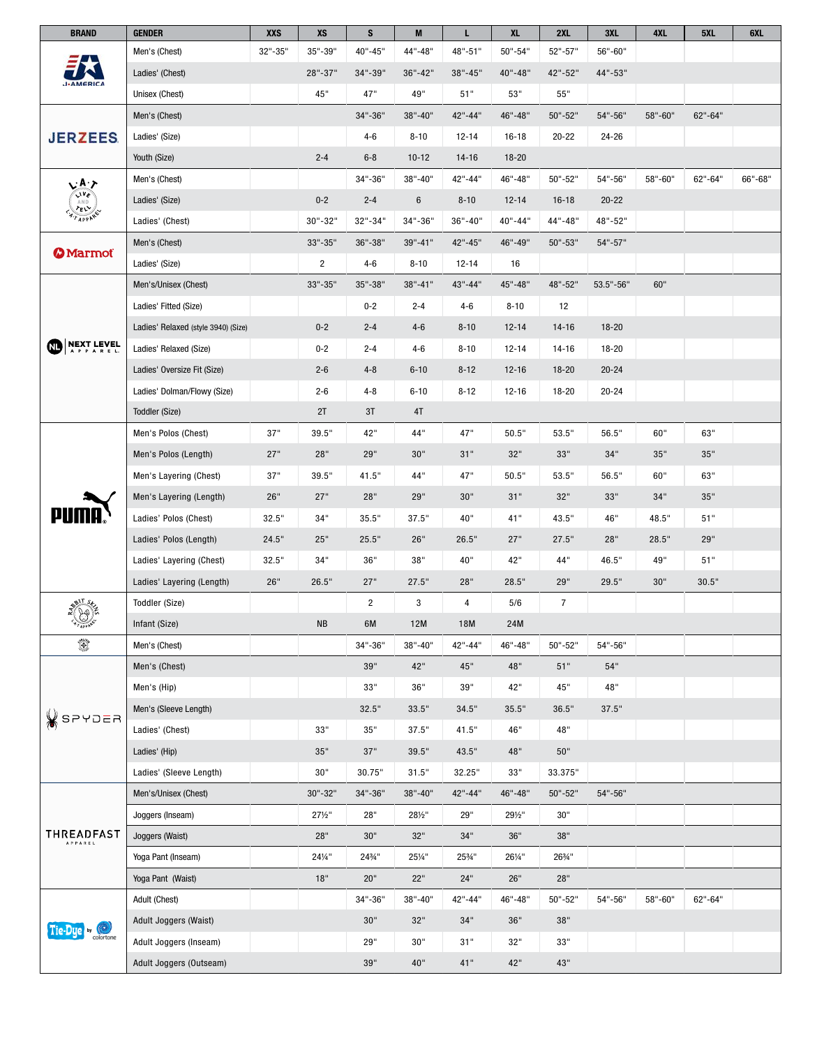| <b>BRAND</b>                                                                                                                                                                                                                                                                                                                                                                                                                                                                                      | <b>GENDER</b>                       | XXS     | XS             | S              | M        | L              | <b>XL</b>   | 2XL            | 3XL           | 4XL     | 5XL     | 6XL     |
|---------------------------------------------------------------------------------------------------------------------------------------------------------------------------------------------------------------------------------------------------------------------------------------------------------------------------------------------------------------------------------------------------------------------------------------------------------------------------------------------------|-------------------------------------|---------|----------------|----------------|----------|----------------|-------------|----------------|---------------|---------|---------|---------|
| <b>AMERICA</b>                                                                                                                                                                                                                                                                                                                                                                                                                                                                                    | Men's (Chest)                       | 32"-35" | 35"-39"        | 40"-45"        | 44"-48"  | 48"-51"        | $50" - 54"$ | 52"-57"        | 56"-60"       |         |         |         |
|                                                                                                                                                                                                                                                                                                                                                                                                                                                                                                   | Ladies' (Chest)                     |         | 28"-37"        | 34"-39"        | 36"-42"  | 38"-45"        | 40"-48"     | 42"-52"        | 44"-53"       |         |         |         |
|                                                                                                                                                                                                                                                                                                                                                                                                                                                                                                   | Unisex (Chest)                      |         | 45"            | 47"            | 49"      | 51"            | 53"         | 55"            |               |         |         |         |
| <b>JERZEES.</b>                                                                                                                                                                                                                                                                                                                                                                                                                                                                                   | Men's (Chest)                       |         |                | 34"-36"        | 38"-40"  | 42"-44"        | 46"-48"     | 50"-52"        | 54"-56"       | 58"-60" | 62"-64" |         |
|                                                                                                                                                                                                                                                                                                                                                                                                                                                                                                   | Ladies' (Size)                      |         |                | $4 - 6$        | $8 - 10$ | $12 - 14$      | $16 - 18$   | $20 - 22$      | 24-26         |         |         |         |
|                                                                                                                                                                                                                                                                                                                                                                                                                                                                                                   | Youth (Size)                        |         | $2 - 4$        | $6 - 8$        | $10-12$  | $14 - 16$      | $18 - 20$   |                |               |         |         |         |
|                                                                                                                                                                                                                                                                                                                                                                                                                                                                                                   | Men's (Chest)                       |         |                | 34"-36"        | 38"-40"  | 42"-44"        | 46"-48"     | 50"-52"        | 54"-56"       | 58"-60" | 62"-64" | 66"-68" |
| $\begin{pmatrix} A & P \\ \nabla \cdot V \cdot \nabla \cdot \nabla \cdot \nabla \cdot \nabla \cdot \nabla \cdot \nabla \cdot \nabla \cdot \nabla \cdot \nabla \cdot \nabla \cdot \nabla \cdot \nabla \cdot \nabla \cdot \nabla \cdot \nabla \cdot \nabla \cdot \nabla \cdot \nabla \cdot \nabla \cdot \nabla \cdot \nabla \cdot \nabla \cdot \nabla \cdot \nabla \cdot \nabla \cdot \nabla \cdot \nabla \cdot \nabla \cdot \nabla \cdot \nabla \cdot \nabla \cdot \nabla \cdot \nabla \cdot \nab$ | Ladies' (Size)                      |         | $0 - 2$        | $2 - 4$        | 6        | $8 - 10$       | $12 - 14$   | $16-18$        | $20 - 22$     |         |         |         |
|                                                                                                                                                                                                                                                                                                                                                                                                                                                                                                   | Ladies' (Chest)                     |         | 30"-32"        | 32"-34"        | 34"-36"  | 36"-40"        | 40"-44"     | 44"-48"        | 48"-52"       |         |         |         |
|                                                                                                                                                                                                                                                                                                                                                                                                                                                                                                   | Men's (Chest)                       |         | 33"-35"        | 36"-38"        | 39"-41"  | 42"-45"        | 46"-49"     | $50" - 53"$    | 54"-57"       |         |         |         |
| <b>(2) Marmot</b>                                                                                                                                                                                                                                                                                                                                                                                                                                                                                 | Ladies' (Size)                      |         | $\overline{c}$ | $4 - 6$        | $8 - 10$ | $12 - 14$      | 16          |                |               |         |         |         |
|                                                                                                                                                                                                                                                                                                                                                                                                                                                                                                   | Men's/Unisex (Chest)                |         | 33"-35"        | 35"-38"        | 38"-41"  | 43"-44"        | 45"-48"     | 48"-52"        | $53.5" - 56"$ | 60"     |         |         |
|                                                                                                                                                                                                                                                                                                                                                                                                                                                                                                   | Ladies' Fitted (Size)               |         |                | $0 - 2$        | $2 - 4$  | $4 - 6$        | $8 - 10$    | 12             |               |         |         |         |
|                                                                                                                                                                                                                                                                                                                                                                                                                                                                                                   | Ladies' Relaxed (style 3940) (Size) |         | $0 - 2$        | $2 - 4$        | $4-6$    | $8 - 10$       | $12 - 14$   | $14 - 16$      | $18 - 20$     |         |         |         |
| <b>NEXT LEVEL</b>                                                                                                                                                                                                                                                                                                                                                                                                                                                                                 | Ladies' Relaxed (Size)              |         | $0 - 2$        | $2 - 4$        | $4 - 6$  | $8 - 10$       | $12 - 14$   | $14-16$        | 18-20         |         |         |         |
|                                                                                                                                                                                                                                                                                                                                                                                                                                                                                                   | Ladies' Oversize Fit (Size)         |         | $2 - 6$        | $4 - 8$        | $6 - 10$ | $8 - 12$       | $12 - 16$   | $18 - 20$      | $20 - 24$     |         |         |         |
|                                                                                                                                                                                                                                                                                                                                                                                                                                                                                                   | Ladies' Dolman/Flowy (Size)         |         | $2 - 6$        | $4 - 8$        | $6 - 10$ | $8 - 12$       | $12 - 16$   | 18-20          | $20 - 24$     |         |         |         |
|                                                                                                                                                                                                                                                                                                                                                                                                                                                                                                   | Toddler (Size)                      |         | 2T             | 3T             | 4T       |                |             |                |               |         |         |         |
|                                                                                                                                                                                                                                                                                                                                                                                                                                                                                                   | Men's Polos (Chest)                 | 37"     | 39.5"          | 42"            | 44"      | 47"            | 50.5"       | 53.5"          | 56.5"         | 60"     | 63"     |         |
|                                                                                                                                                                                                                                                                                                                                                                                                                                                                                                   | Men's Polos (Length)                | 27"     | 28"            | 29"            | 30"      | 31"            | 32"         | 33"            | 34"           | 35"     | 35"     |         |
|                                                                                                                                                                                                                                                                                                                                                                                                                                                                                                   | Men's Layering (Chest)              | 37"     | 39.5"          | 41.5"          | 44"      | 47"            | 50.5"       | 53.5"          | 56.5"         | 60"     | 63"     |         |
|                                                                                                                                                                                                                                                                                                                                                                                                                                                                                                   | Men's Layering (Length)             | 26"     | 27"            | 28"            | 29"      | 30"            | 31"         | 32"            | 33"           | 34"     | 35"     |         |
|                                                                                                                                                                                                                                                                                                                                                                                                                                                                                                   | Ladies' Polos (Chest)               | 32.5"   | 34"            | 35.5"          | 37.5"    | 40"            | 41"         | 43.5"          | 46"           | 48.5"   | $51"$   |         |
|                                                                                                                                                                                                                                                                                                                                                                                                                                                                                                   | Ladies' Polos (Length)              | 24.5"   | 25"            | 25.5"          | 26"      | 26.5"          | 27"         | 27.5"          | 28"           | 28.5"   | 29"     |         |
|                                                                                                                                                                                                                                                                                                                                                                                                                                                                                                   | Ladies' Layering (Chest)            | 32.5"   | 34"            | 36"            | 38"      | 40"            | 42"         | 44"            | 46.5"         | 49"     | 51"     |         |
|                                                                                                                                                                                                                                                                                                                                                                                                                                                                                                   | Ladies' Layering (Length)           | 26"     | 26.5"          | 27"            | 27.5"    | 28"            | 28.5"       | 29"            | 29.5"         | 30"     | 30.5"   |         |
|                                                                                                                                                                                                                                                                                                                                                                                                                                                                                                   | Toddler (Size)                      |         |                | $\overline{2}$ | 3        | $\overline{4}$ | 5/6         | $\overline{7}$ |               |         |         |         |
|                                                                                                                                                                                                                                                                                                                                                                                                                                                                                                   | Infant (Size)                       |         | <b>NB</b>      | 6M             | 12M      | 18M            | 24M         |                |               |         |         |         |
| Ö                                                                                                                                                                                                                                                                                                                                                                                                                                                                                                 | Men's (Chest)                       |         |                | 34"-36"        | 38"-40"  | 42"-44"        | 46"-48"     | 50"-52"        | 54"-56"       |         |         |         |
|                                                                                                                                                                                                                                                                                                                                                                                                                                                                                                   | Men's (Chest)                       |         |                | 39"            | 42"      | 45"            | 48"         | 51"            | 54"           |         |         |         |
|                                                                                                                                                                                                                                                                                                                                                                                                                                                                                                   | Men's (Hip)                         |         |                | 33"            | 36"      | 39"            | 42"         | 45"            | 48"           |         |         |         |
| <b>X</b> SPYDER                                                                                                                                                                                                                                                                                                                                                                                                                                                                                   | Men's (Sleeve Length)               |         |                | 32.5"          | 33.5"    | 34.5"          | 35.5"       | 36.5"          | 37.5"         |         |         |         |
|                                                                                                                                                                                                                                                                                                                                                                                                                                                                                                   | Ladies' (Chest)                     |         | 33"            | 35"            | 37.5"    | 41.5"          | 46"         | 48"            |               |         |         |         |
|                                                                                                                                                                                                                                                                                                                                                                                                                                                                                                   | Ladies' (Hip)                       |         | 35"            | 37"            | 39.5"    | 43.5"          | 48"         | 50"            |               |         |         |         |
|                                                                                                                                                                                                                                                                                                                                                                                                                                                                                                   | Ladies' (Sleeve Length)             |         | 30"            | 30.75"         | 31.5"    | 32.25"         | 33"         | 33.375"        |               |         |         |         |
| THREADFAST<br>APPAREL                                                                                                                                                                                                                                                                                                                                                                                                                                                                             | Men's/Unisex (Chest)                |         | 30"-32"        | 34"-36"        | 38"-40"  | 42"-44"        | 46"-48"     | 50"-52"        | 54"-56"       |         |         |         |
|                                                                                                                                                                                                                                                                                                                                                                                                                                                                                                   | Joggers (Inseam)                    |         | 271/2"         | 28"            | 281/2"   | 29"            | 291/2"      | 30"            |               |         |         |         |
|                                                                                                                                                                                                                                                                                                                                                                                                                                                                                                   | Joggers (Waist)                     |         | 28"            | 30"            | 32"      | 34"            | 36"         | 38"            |               |         |         |         |
|                                                                                                                                                                                                                                                                                                                                                                                                                                                                                                   | Yoga Pant (Inseam)                  |         | 241/4"         | 243/4"         | 251/4"   | 253/4"         | 261/4"      | 263/4"         |               |         |         |         |
|                                                                                                                                                                                                                                                                                                                                                                                                                                                                                                   | Yoga Pant (Waist)                   |         | 18"            | 20"            | 22"      | $24"$          | 26"         | 28"            |               |         |         |         |
|                                                                                                                                                                                                                                                                                                                                                                                                                                                                                                   | Adult (Chest)                       |         |                | 34"-36"        | 38"-40"  | 42"-44"        | 46"-48"     | 50"-52"        | 54"-56"       | 58"-60" | 62"-64" |         |
| by $\left(\bigcup_{\text{colorton}}\right)$<br>Tie-Due                                                                                                                                                                                                                                                                                                                                                                                                                                            | Adult Joggers (Waist)               |         |                | 30"            | 32"      | 34"            | 36"         | 38"            |               |         |         |         |
|                                                                                                                                                                                                                                                                                                                                                                                                                                                                                                   | Adult Joggers (Inseam)              |         |                | 29"            | 30"      | 31"            | 32"         | 33"            |               |         |         |         |
|                                                                                                                                                                                                                                                                                                                                                                                                                                                                                                   | Adult Joggers (Outseam)             |         |                | 39"            | 40"      | 41"            | 42"         | 43"            |               |         |         |         |